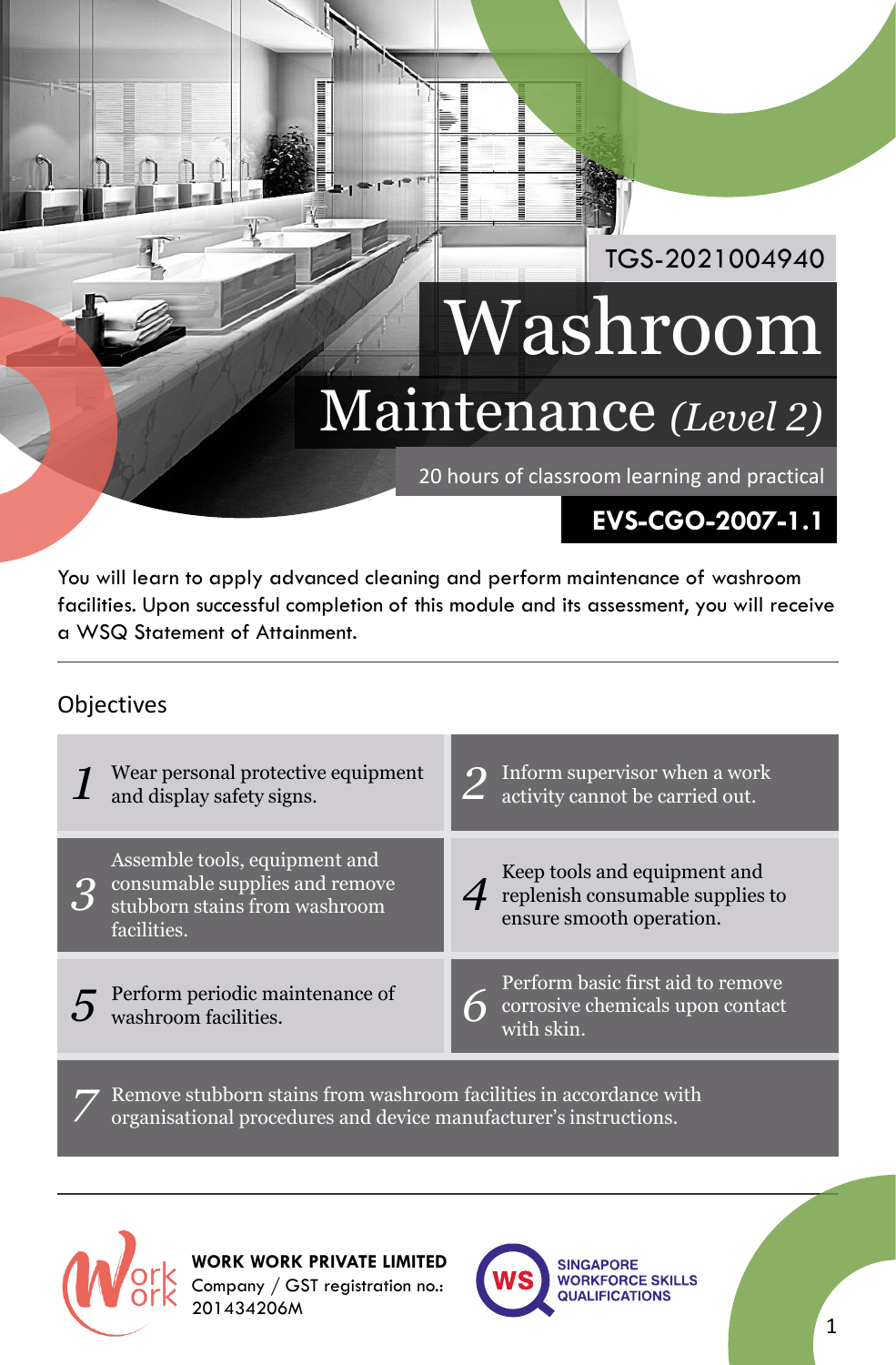# Maintenance *(Level 2)* Washroom

20 hours of classroom learning and practical

## **EVS-CGO-2007-1.1**

TGS-2021004940

You will learn to apply advanced cleaning and perform maintenance of washroom facilities. Upon successful completion of this module and its assessment, you will receive a WSQ Statement of Attainment.

#### **Objectives**

| Wear personal protective equipment<br>and display safety signs.                                                 | $\Omega$ | Inform supervisor when a work<br>activity cannot be carried out.                             |
|-----------------------------------------------------------------------------------------------------------------|----------|----------------------------------------------------------------------------------------------|
| Assemble tools, equipment and<br>consumable supplies and remove<br>stubborn stains from washroom<br>facilities. |          | Keep tools and equipment and<br>replenish consumable supplies to<br>ensure smooth operation. |
| Perform periodic maintenance of<br>washroom facilities.                                                         |          | Perform basic first aid to remove<br>corrosive chemicals upon contact<br>with skin.          |

Remove stubborn stains from washroom facilities in accordance with organisational procedures and device manufacturer's instructions.



*7*

**WORK WORK PRIVATE LIMITED** Company / GST registration no.: 201434206M